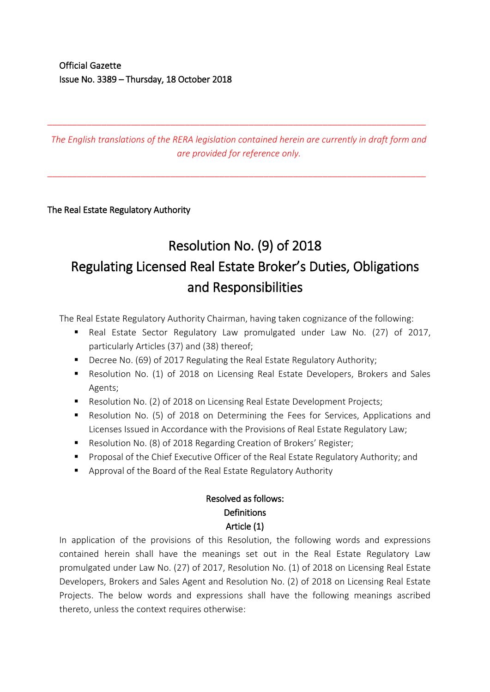*The English translations of the RERA legislation contained herein are currently in draft form and are provided for reference only.*

\_\_\_\_\_\_\_\_\_\_\_\_\_\_\_\_\_\_\_\_\_\_\_\_\_\_\_\_\_\_\_\_\_\_\_\_\_\_\_\_\_\_\_\_\_\_\_\_\_\_\_\_\_\_\_\_\_\_\_\_\_\_\_\_\_\_\_\_\_\_\_\_\_\_\_\_\_

\_\_\_\_\_\_\_\_\_\_\_\_\_\_\_\_\_\_\_\_\_\_\_\_\_\_\_\_\_\_\_\_\_\_\_\_\_\_\_\_\_\_\_\_\_\_\_\_\_\_\_\_\_\_\_\_\_\_\_\_\_\_\_\_\_\_\_\_\_\_\_\_\_\_\_\_\_

The Real Estate Regulatory Authority

# Resolution No. (9) of 2018 Regulating Licensed Real Estate Broker's Duties, Obligations and Responsibilities

The Real Estate Regulatory Authority Chairman, having taken cognizance of the following:

- Real Estate Sector Regulatory Law promulgated under Law No. (27) of 2017, particularly Articles (37) and (38) thereof;
- Decree No. (69) of 2017 Regulating the Real Estate Regulatory Authority;
- Resolution No. (1) of 2018 on Licensing Real Estate Developers, Brokers and Sales Agents;
- **Resolution No. (2) of 2018 on Licensing Real Estate Development Projects;**
- Resolution No. (5) of 2018 on Determining the Fees for Services, Applications and Licenses Issued in Accordance with the Provisions of Real Estate Regulatory Law;
- Resolution No. (8) of 2018 Regarding Creation of Brokers' Register;
- Proposal of the Chief Executive Officer of the Real Estate Regulatory Authority; and
- Approval of the Board of the Real Estate Regulatory Authority

# Resolved as follows: **Definitions** Article (1)

In application of the provisions of this Resolution, the following words and expressions contained herein shall have the meanings set out in the Real Estate Regulatory Law promulgated under Law No. (27) of 2017, Resolution No. (1) of 2018 on Licensing Real Estate Developers, Brokers and Sales Agent and Resolution No. (2) of 2018 on Licensing Real Estate Projects. The below words and expressions shall have the following meanings ascribed thereto, unless the context requires otherwise: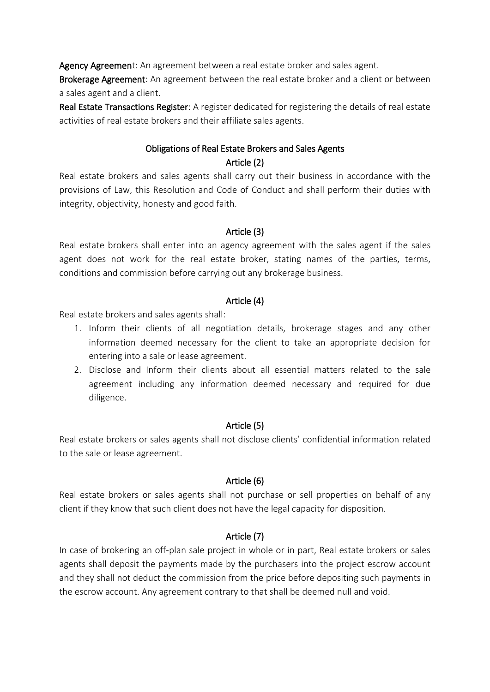Agency Agreement: An agreement between a real estate broker and sales agent.

Brokerage Agreement: An agreement between the real estate broker and a client or between a sales agent and a client.

Real Estate Transactions Register: A register dedicated for registering the details of real estate activities of real estate brokers and their affiliate sales agents.

### Obligations of Real Estate Brokers and Sales Agents Article (2)

Real estate brokers and sales agents shall carry out their business in accordance with the provisions of Law, this Resolution and Code of Conduct and shall perform their duties with integrity, objectivity, honesty and good faith.

#### Article (3)

Real estate brokers shall enter into an agency agreement with the sales agent if the sales agent does not work for the real estate broker, stating names of the parties, terms, conditions and commission before carrying out any brokerage business.

#### Article (4)

Real estate brokers and sales agents shall:

- 1. Inform their clients of all negotiation details, brokerage stages and any other information deemed necessary for the client to take an appropriate decision for entering into a sale or lease agreement.
- 2. Disclose and Inform their clients about all essential matters related to the sale agreement including any information deemed necessary and required for due diligence.

#### Article (5)

Real estate brokers or sales agents shall not disclose clients' confidential information related to the sale or lease agreement.

### Article (6)

Real estate brokers or sales agents shall not purchase or sell properties on behalf of any client if they know that such client does not have the legal capacity for disposition.

### Article (7)

In case of brokering an off-plan sale project in whole or in part, Real estate brokers or sales agents shall deposit the payments made by the purchasers into the project escrow account and they shall not deduct the commission from the price before depositing such payments in the escrow account. Any agreement contrary to that shall be deemed null and void.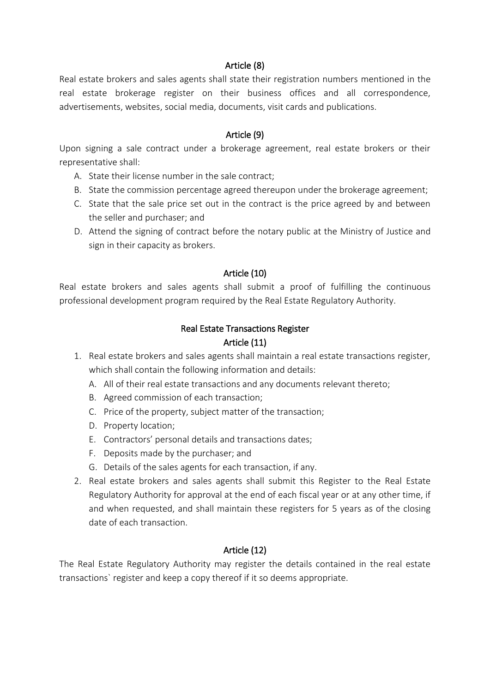#### Article (8)

Real estate brokers and sales agents shall state their registration numbers mentioned in the real estate brokerage register on their business offices and all correspondence, advertisements, websites, social media, documents, visit cards and publications.

#### Article (9)

Upon signing a sale contract under a brokerage agreement, real estate brokers or their representative shall:

- A. State their license number in the sale contract;
- B. State the commission percentage agreed thereupon under the brokerage agreement;
- C. State that the sale price set out in the contract is the price agreed by and between the seller and purchaser; and
- D. Attend the signing of contract before the notary public at the Ministry of Justice and sign in their capacity as brokers.

#### Article (10)

Real estate brokers and sales agents shall submit a proof of fulfilling the continuous professional development program required by the Real Estate Regulatory Authority.

#### Real Estate Transactions Register Article (11)

- 1. Real estate brokers and sales agents shall maintain a real estate transactions register, which shall contain the following information and details:
	- A. All of their real estate transactions and any documents relevant thereto;
	- B. Agreed commission of each transaction;
	- C. Price of the property, subject matter of the transaction;
	- D. Property location;
	- E. Contractors' personal details and transactions dates;
	- F. Deposits made by the purchaser; and
	- G. Details of the sales agents for each transaction, if any.
- 2. Real estate brokers and sales agents shall submit this Register to the Real Estate Regulatory Authority for approval at the end of each fiscal year or at any other time, if and when requested, and shall maintain these registers for 5 years as of the closing date of each transaction.

#### Article (12)

The Real Estate Regulatory Authority may register the details contained in the real estate transactions` register and keep a copy thereof if it so deems appropriate.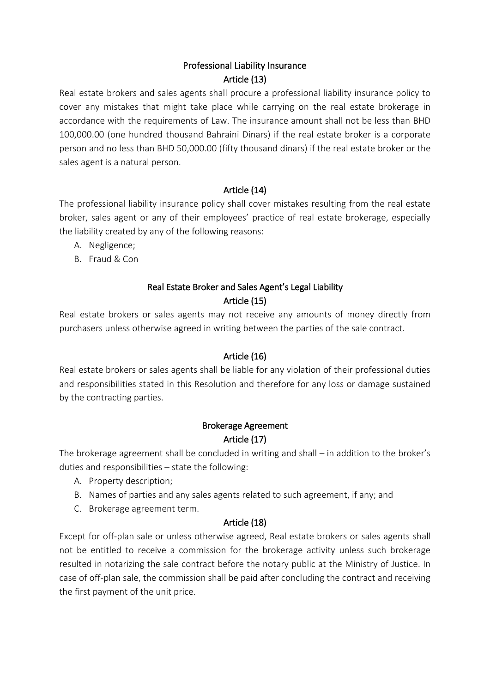## Professional Liability Insurance Article (13)

Real estate brokers and sales agents shall procure a professional liability insurance policy to cover any mistakes that might take place while carrying on the real estate brokerage in accordance with the requirements of Law. The insurance amount shall not be less than BHD 100,000.00 (one hundred thousand Bahraini Dinars) if the real estate broker is a corporate person and no less than BHD 50,000.00 (fifty thousand dinars) if the real estate broker or the sales agent is a natural person.

## Article (14)

The professional liability insurance policy shall cover mistakes resulting from the real estate broker, sales agent or any of their employees' practice of real estate brokerage, especially the liability created by any of the following reasons:

- A. Negligence;
- B. Fraud & Con

## Real Estate Broker and Sales Agent's Legal Liability Article (15)

Real estate brokers or sales agents may not receive any amounts of money directly from purchasers unless otherwise agreed in writing between the parties of the sale contract.

### Article (16)

Real estate brokers or sales agents shall be liable for any violation of their professional duties and responsibilities stated in this Resolution and therefore for any loss or damage sustained by the contracting parties.

# Brokerage Agreement Article (17)

The brokerage agreement shall be concluded in writing and shall – in addition to the broker's duties and responsibilities – state the following:

- A. Property description;
- B. Names of parties and any sales agents related to such agreement, if any; and
- C. Brokerage agreement term.

### Article (18)

Except for off-plan sale or unless otherwise agreed, Real estate brokers or sales agents shall not be entitled to receive a commission for the brokerage activity unless such brokerage resulted in notarizing the sale contract before the notary public at the Ministry of Justice. In case of off-plan sale, the commission shall be paid after concluding the contract and receiving the first payment of the unit price.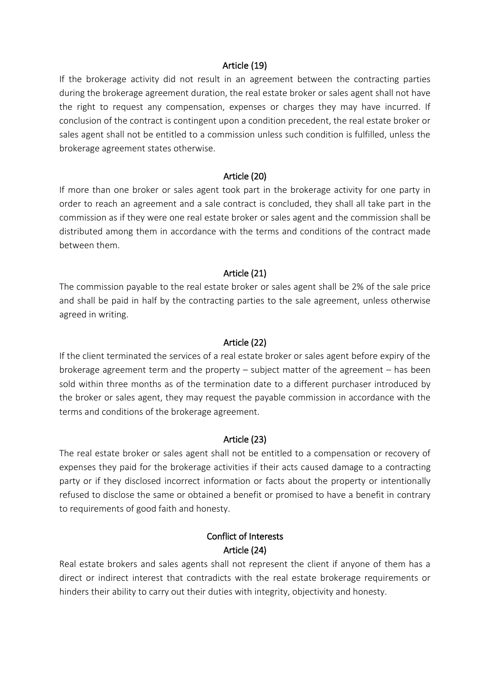#### Article (19)

If the brokerage activity did not result in an agreement between the contracting parties during the brokerage agreement duration, the real estate broker or sales agent shall not have the right to request any compensation, expenses or charges they may have incurred. If conclusion of the contract is contingent upon a condition precedent, the real estate broker or sales agent shall not be entitled to a commission unless such condition is fulfilled, unless the brokerage agreement states otherwise.

#### Article (20)

If more than one broker or sales agent took part in the brokerage activity for one party in order to reach an agreement and a sale contract is concluded, they shall all take part in the commission as if they were one real estate broker or sales agent and the commission shall be distributed among them in accordance with the terms and conditions of the contract made between them.

#### Article (21)

The commission payable to the real estate broker or sales agent shall be 2% of the sale price and shall be paid in half by the contracting parties to the sale agreement, unless otherwise agreed in writing.

#### Article (22)

If the client terminated the services of a real estate broker or sales agent before expiry of the brokerage agreement term and the property – subject matter of the agreement – has been sold within three months as of the termination date to a different purchaser introduced by the broker or sales agent, they may request the payable commission in accordance with the terms and conditions of the brokerage agreement.

#### Article (23)

The real estate broker or sales agent shall not be entitled to a compensation or recovery of expenses they paid for the brokerage activities if their acts caused damage to a contracting party or if they disclosed incorrect information or facts about the property or intentionally refused to disclose the same or obtained a benefit or promised to have a benefit in contrary to requirements of good faith and honesty.

#### Conflict of Interests Article (24)

Real estate brokers and sales agents shall not represent the client if anyone of them has a direct or indirect interest that contradicts with the real estate brokerage requirements or hinders their ability to carry out their duties with integrity, objectivity and honesty.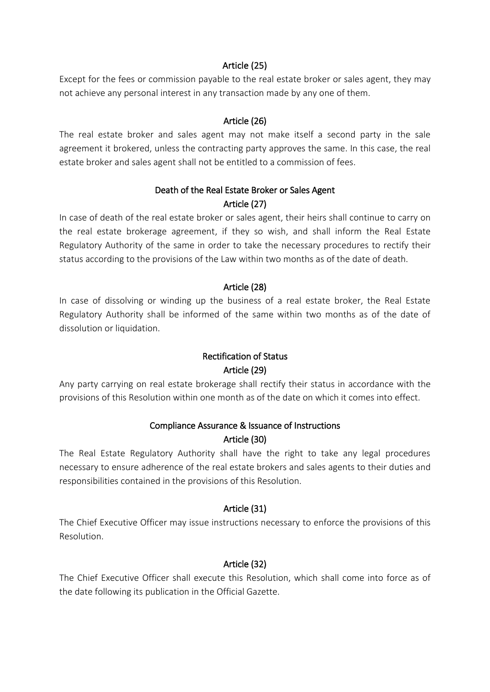#### Article (25)

Except for the fees or commission payable to the real estate broker or sales agent, they may not achieve any personal interest in any transaction made by any one of them.

#### Article (26)

The real estate broker and sales agent may not make itself a second party in the sale agreement it brokered, unless the contracting party approves the same. In this case, the real estate broker and sales agent shall not be entitled to a commission of fees.

### Death of the Real Estate Broker or Sales Agent Article (27)

In case of death of the real estate broker or sales agent, their heirs shall continue to carry on the real estate brokerage agreement, if they so wish, and shall inform the Real Estate Regulatory Authority of the same in order to take the necessary procedures to rectify their status according to the provisions of the Law within two months as of the date of death.

#### Article (28)

In case of dissolving or winding up the business of a real estate broker, the Real Estate Regulatory Authority shall be informed of the same within two months as of the date of dissolution or liquidation.

## Rectification of Status Article (29)

Any party carrying on real estate brokerage shall rectify their status in accordance with the provisions of this Resolution within one month as of the date on which it comes into effect.

## Compliance Assurance & Issuance of Instructions Article (30)

The Real Estate Regulatory Authority shall have the right to take any legal procedures necessary to ensure adherence of the real estate brokers and sales agents to their duties and responsibilities contained in the provisions of this Resolution.

#### Article (31)

The Chief Executive Officer may issue instructions necessary to enforce the provisions of this Resolution.

### Article (32)

The Chief Executive Officer shall execute this Resolution, which shall come into force as of the date following its publication in the Official Gazette.